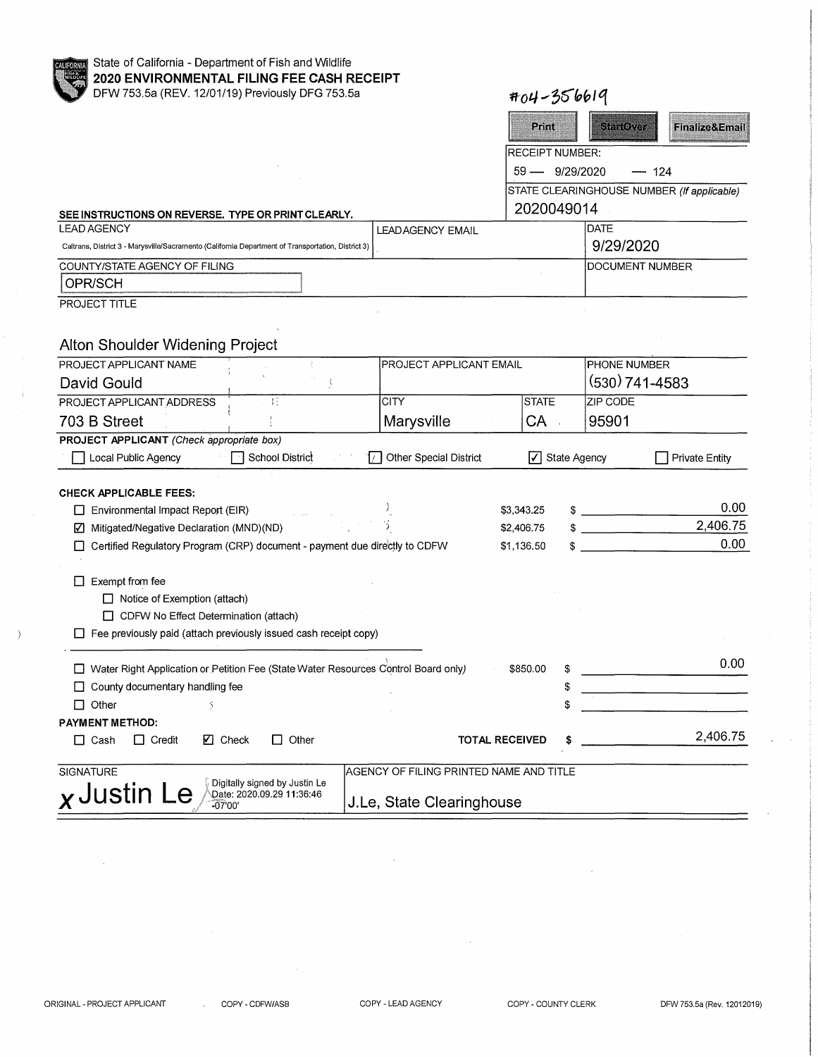| en Po<br>×<br>166 | I |
|-------------------|---|
|                   |   |
|                   |   |

# State of California - Department of Fish and Wildlife **2020 ENVIRONMENTAL FILING FEE CASH RECEIPT**  DFW 753.5a (REV. 12/01/19) P

| <b>1999</b><br>DFW 753.5a (REV. 12/01/19) Previously DFG 753.5a                                        |                         | $404 - 356619$          |                                            |                           |
|--------------------------------------------------------------------------------------------------------|-------------------------|-------------------------|--------------------------------------------|---------------------------|
|                                                                                                        |                         | Print                   | sterio vet                                 | <b>Finalize&amp;Email</b> |
|                                                                                                        |                         | <b>IRECEIPT NUMBER:</b> |                                            |                           |
|                                                                                                        |                         | $59 - 9/29/2020$        | $-124$                                     |                           |
|                                                                                                        |                         |                         | STATE CLEARINGHOUSE NUMBER (If applicable) |                           |
| SEE INSTRUCTIONS ON REVERSE. TYPE OR PRINT CLEARLY.                                                    |                         | 2020049014              |                                            |                           |
| LEAD AGENCY                                                                                            | <b>LEADAGENCY EMAIL</b> |                         | DATE                                       |                           |
| [3] Caltrans, District 3 - Marysville/Sacramento (California Department of Transportation, District 3) |                         |                         | 9/29/2020                                  |                           |
| COUNTY/STATE AGENCY OF FILING                                                                          |                         |                         | IDOCUMENT NUMBER                           |                           |
| OPR/SCH                                                                                                |                         |                         |                                            |                           |
|                                                                                                        |                         |                         |                                            |                           |

OPR/SCH **PROJECT TITLE** 

 $\lambda$ 

# Alton Shoulder Widening Project

| PROJECT APPLICANT NAME                                                  |                                                                                    | PROJECT APPLICANT EMAIL                   |                     | PHONE NUMBER                         |
|-------------------------------------------------------------------------|------------------------------------------------------------------------------------|-------------------------------------------|---------------------|--------------------------------------|
| David Gould                                                             |                                                                                    |                                           |                     | (530) 741-4583                       |
| PROJECT APPLICANT ADDRESS                                               | 43                                                                                 | <b>CITY</b>                               | <b>STATE</b>        | ZIP CODE                             |
| 703 B Street                                                            |                                                                                    | Marysville                                | CA                  | 95901                                |
| PROJECT APPLICANT (Check appropriate box)                               |                                                                                    |                                           |                     |                                      |
| Local Public Agency                                                     | School District                                                                    | <b>Other Special District</b><br>$\prime$ | State Agency<br>I۷۱ | <b>Private Entity</b>                |
|                                                                         |                                                                                    |                                           |                     |                                      |
| <b>CHECK APPLICABLE FEES:</b>                                           |                                                                                    |                                           |                     |                                      |
| Environmental Impact Report (EIR)<br>L                                  |                                                                                    |                                           | \$3,343.25          | 0.00                                 |
| Mitigated/Negative Declaration (MND)(ND)<br>☑                           |                                                                                    |                                           | \$2,406.75          | 2,406.75<br>$\overline{\phantom{a}}$ |
|                                                                         | Certified Regulatory Program (CRP) document - payment due directly to CDFW         |                                           | \$1,136.50          | 0.00                                 |
|                                                                         |                                                                                    |                                           |                     |                                      |
| Exempt from fee                                                         |                                                                                    |                                           |                     |                                      |
| $\Box$ Notice of Exemption (attach)                                     |                                                                                    |                                           |                     |                                      |
| CDFW No Effect Determination (attach)                                   |                                                                                    |                                           |                     |                                      |
| $\Box$ Fee previously paid (attach previously issued cash receipt copy) |                                                                                    |                                           |                     |                                      |
|                                                                         |                                                                                    |                                           |                     |                                      |
|                                                                         | Water Right Application or Petition Fee (State Water Resources Control Board only) |                                           | \$850.00<br>\$      | 0.00                                 |
| County documentary handling fee<br>$\perp$                              |                                                                                    |                                           | S                   |                                      |
| Other<br>П                                                              |                                                                                    |                                           |                     |                                      |
| <b>PAYMENT METHOD:</b>                                                  |                                                                                    |                                           |                     |                                      |
| ⊠ Check<br>$\Box$ Cash<br>$\Box$ Credit                                 | Other                                                                              | <b>TOTAL RECEIVED</b>                     |                     | 2,406.75                             |
|                                                                         |                                                                                    |                                           |                     |                                      |
| <b>SIGNATURE</b>                                                        |                                                                                    | AGENCY OF FILING PRINTED NAME AND TITLE   |                     |                                      |
|                                                                         | Digitally signed by Justin Le                                                      |                                           |                     |                                      |
| $x$ Justin<br>$-0700'$                                                  | Date: 2020.09.29 11:36:46                                                          | J.Le, State Clearinghouse                 |                     |                                      |

 $\overline{\phantom{a}}$